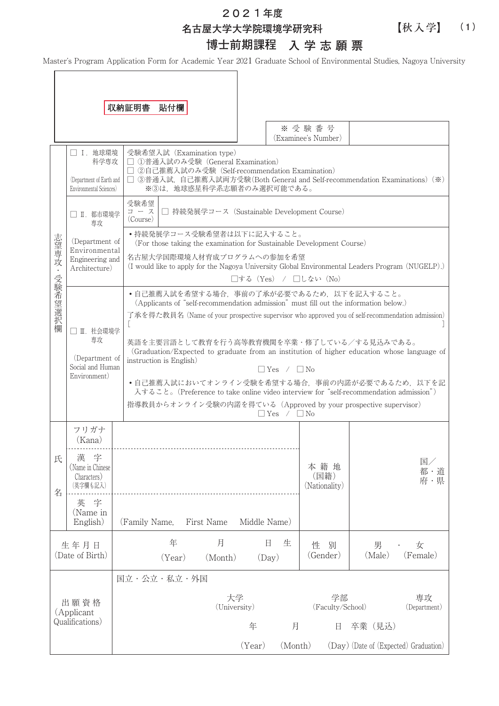**202**1**年度**

**名古屋大学大学院環境学研究科**

**博士前期課程 入学志願票**

【秋入学】

**(1)**

Master's Program Application Form for Academic Year 2021 Graduate School of Environmental Studies, Nagoya University

|              |                                                                          | 収納証明書<br>貼付欄                                                                                                                                                                                                                                                                                                                                                                                                                                                                                                                                                                                                                                                                     |  |  |  |  |  |
|--------------|--------------------------------------------------------------------------|----------------------------------------------------------------------------------------------------------------------------------------------------------------------------------------------------------------------------------------------------------------------------------------------------------------------------------------------------------------------------------------------------------------------------------------------------------------------------------------------------------------------------------------------------------------------------------------------------------------------------------------------------------------------------------|--|--|--|--|--|
|              |                                                                          | ※受験番号<br>(Examinee's Number)                                                                                                                                                                                                                                                                                                                                                                                                                                                                                                                                                                                                                                                     |  |  |  |  |  |
| 志望専攻・受験希望選択欄 | □ Ⅰ. 地球環境<br>科学専攻<br>(Department of Earth and<br>Environmental Sciences) | 受験希望入試 (Examination type)<br>□ ①普通入試のみ受験 (General Examination)<br>□ ②自己推薦入試のみ受験 (Self-recommendation Examination)<br>□ ③普通入試,自己推薦入試両方受験(Both General and Self-recommendation Examinations)(※)<br>※3は、地球惑星科学系志願者のみ選択可能である。                                                                                                                                                                                                                                                                                                                                                                                                                                                        |  |  |  |  |  |
|              | □ II. 都市環境学<br>専攻                                                        | 受験希望<br>□ 持続発展学コース (Sustainable Development Course)<br>コース<br>(Course)                                                                                                                                                                                                                                                                                                                                                                                                                                                                                                                                                                                                           |  |  |  |  |  |
|              | (Department of                                                           | •持続発展学コース受験希望者は以下に記入すること。<br>(For those taking the examination for Sustainable Development Course)                                                                                                                                                                                                                                                                                                                                                                                                                                                                                                                                                                               |  |  |  |  |  |
|              | Environmental<br>Engineering and<br>Architecture)                        | 名古屋大学国際環境人材育成プログラムへの参加を希望<br>(I would like to apply for the Nagoya University Global Environmental Leaders Program (NUGELP).)<br>□する (Yes) / □しない (No)                                                                                                                                                                                                                                                                                                                                                                                                                                                                                                                           |  |  |  |  |  |
|              | □ Ⅲ. 社会環境学<br>専攻<br>(Department of<br>Social and Human<br>Environment)   | •自己推薦入試を希望する場合、事前の了承が必要であるため、以下を記入すること。<br>(Applicants of "self-recommendation admission" must fill out the information below.)<br>了承を得た教員名 (Name of your prospective supervisor who approved you of self-recommendation admission)<br>L<br>英語を主要言語として教育を行う高等教育機関を卒業・修了している/する見込みである。<br>(Graduation/Expected to graduate from an institution of higher education whose language of<br>instruction is English)<br>$\Box$ Yes / $\Box$ No<br>•自己推薦入試においてオンライン受験を希望する場合, 事前の内諾が必要であるため, 以下を記<br>入すること。(Preference to take online video interview for "self-recommendation admission")<br>指導教員からオンライン受験の内諾を得ている (Approved by your prospective supervisor)<br>$\Box$ Yes / $\Box$ No |  |  |  |  |  |
| 氏            | フリガナ<br>(Kana)<br>漢<br>字<br>(Name in Chinese<br>Characters)              | 国/<br>本籍地<br>都・道<br>(国籍)                                                                                                                                                                                                                                                                                                                                                                                                                                                                                                                                                                                                                                                         |  |  |  |  |  |
| 名            | (英字欄も記入)<br>字<br>英<br>(Name in<br>English)                               | 府・県<br>(Nationality)<br>First Name<br>Middle Name)<br>(Family Name,                                                                                                                                                                                                                                                                                                                                                                                                                                                                                                                                                                                                              |  |  |  |  |  |
|              | 生年月日<br>(Date of Birth)                                                  | 年<br>月<br>日<br>生<br>性<br>別<br>女<br>男<br>(Male)<br>(Gender)<br>(Female)<br>(Year)<br>(Month)<br>(Day)                                                                                                                                                                                                                                                                                                                                                                                                                                                                                                                                                                             |  |  |  |  |  |
|              |                                                                          | 国立・公立・私立・外国                                                                                                                                                                                                                                                                                                                                                                                                                                                                                                                                                                                                                                                                      |  |  |  |  |  |
|              | 出願資格<br>(Applicant<br>Qualifications)                                    | 学部<br>大学<br>専攻<br>(University)<br>(Faculty/School)<br>(Department)                                                                                                                                                                                                                                                                                                                                                                                                                                                                                                                                                                                                               |  |  |  |  |  |
|              |                                                                          | 月<br>年<br>卒業 (見込)<br>日<br>(Month)<br>(Day) (Date of (Expected) Graduation)<br>(Year)                                                                                                                                                                                                                                                                                                                                                                                                                                                                                                                                                                                             |  |  |  |  |  |